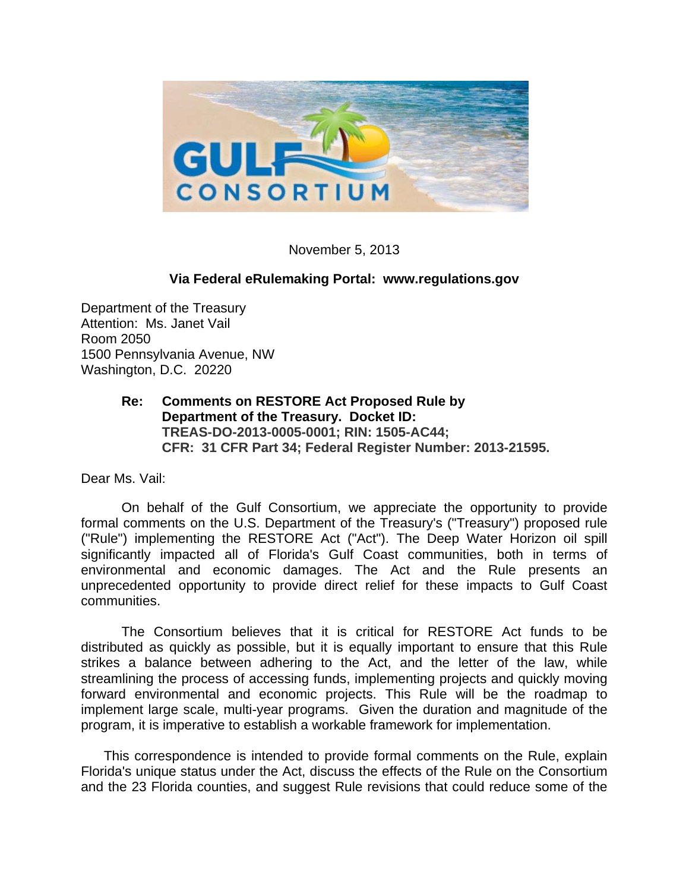

November 5, 2013

#### **Via Federal eRulemaking Portal: www.regulations.gov**

Department of the Treasury Attention: Ms. Janet Vail Room 2050 1500 Pennsylvania Avenue, NW Washington, D.C. 20220

# **Re: Comments on RESTORE Act Proposed Rule by Department of the Treasury. Docket ID: TREAS-DO-2013-0005-0001; RIN: 1505-AC44; CFR: 31 CFR Part 34; Federal Register Number: 2013-21595.**

Dear Ms. Vail:

 On behalf of the Gulf Consortium, we appreciate the opportunity to provide formal comments on the U.S. Department of the Treasury's ("Treasury") proposed rule ("Rule") implementing the RESTORE Act ("Act"). The Deep Water Horizon oil spill significantly impacted all of Florida's Gulf Coast communities, both in terms of environmental and economic damages. The Act and the Rule presents an unprecedented opportunity to provide direct relief for these impacts to Gulf Coast communities.

 The Consortium believes that it is critical for RESTORE Act funds to be distributed as quickly as possible, but it is equally important to ensure that this Rule strikes a balance between adhering to the Act, and the letter of the law, while streamlining the process of accessing funds, implementing projects and quickly moving forward environmental and economic projects. This Rule will be the roadmap to implement large scale, multi-year programs. Given the duration and magnitude of the program, it is imperative to establish a workable framework for implementation.

This correspondence is intended to provide formal comments on the Rule, explain Florida's unique status under the Act, discuss the effects of the Rule on the Consortium and the 23 Florida counties, and suggest Rule revisions that could reduce some of the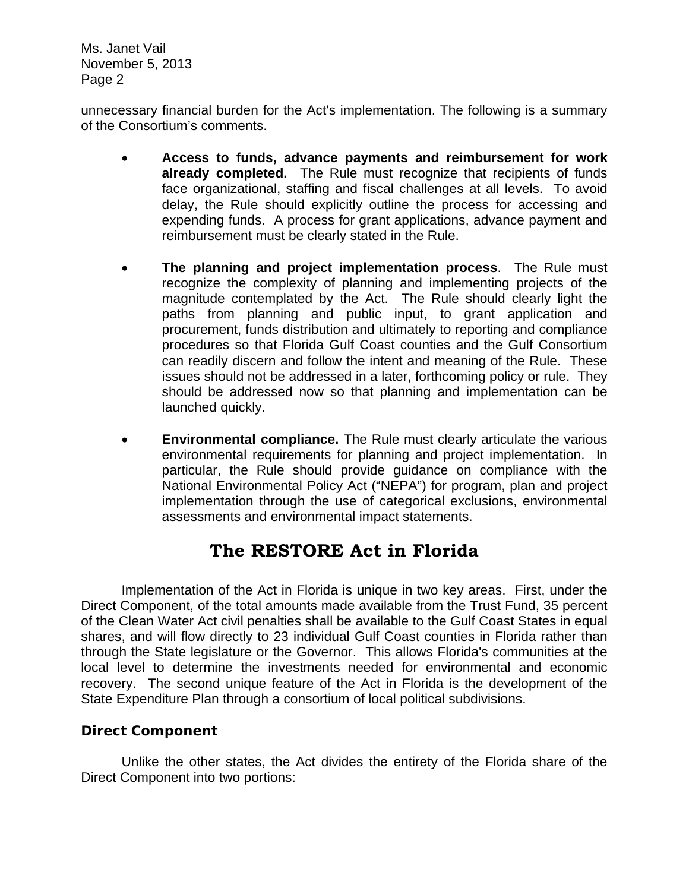unnecessary financial burden for the Act's implementation. The following is a summary of the Consortium's comments.

- **Access to funds, advance payments and reimbursement for work already completed.** The Rule must recognize that recipients of funds face organizational, staffing and fiscal challenges at all levels. To avoid delay, the Rule should explicitly outline the process for accessing and expending funds. A process for grant applications, advance payment and reimbursement must be clearly stated in the Rule.
- **The planning and project implementation process**. The Rule must recognize the complexity of planning and implementing projects of the magnitude contemplated by the Act. The Rule should clearly light the paths from planning and public input, to grant application and procurement, funds distribution and ultimately to reporting and compliance procedures so that Florida Gulf Coast counties and the Gulf Consortium can readily discern and follow the intent and meaning of the Rule. These issues should not be addressed in a later, forthcoming policy or rule. They should be addressed now so that planning and implementation can be launched quickly.
- **Environmental compliance.** The Rule must clearly articulate the various environmental requirements for planning and project implementation. In particular, the Rule should provide guidance on compliance with the National Environmental Policy Act ("NEPA") for program, plan and project implementation through the use of categorical exclusions, environmental assessments and environmental impact statements.

# **The RESTORE Act in Florida**

 Implementation of the Act in Florida is unique in two key areas. First, under the Direct Component, of the total amounts made available from the Trust Fund, 35 percent of the Clean Water Act civil penalties shall be available to the Gulf Coast States in equal shares, and will flow directly to 23 individual Gulf Coast counties in Florida rather than through the State legislature or the Governor. This allows Florida's communities at the local level to determine the investments needed for environmental and economic recovery. The second unique feature of the Act in Florida is the development of the State Expenditure Plan through a consortium of local political subdivisions.

# *Direct Component*

 Unlike the other states, the Act divides the entirety of the Florida share of the Direct Component into two portions: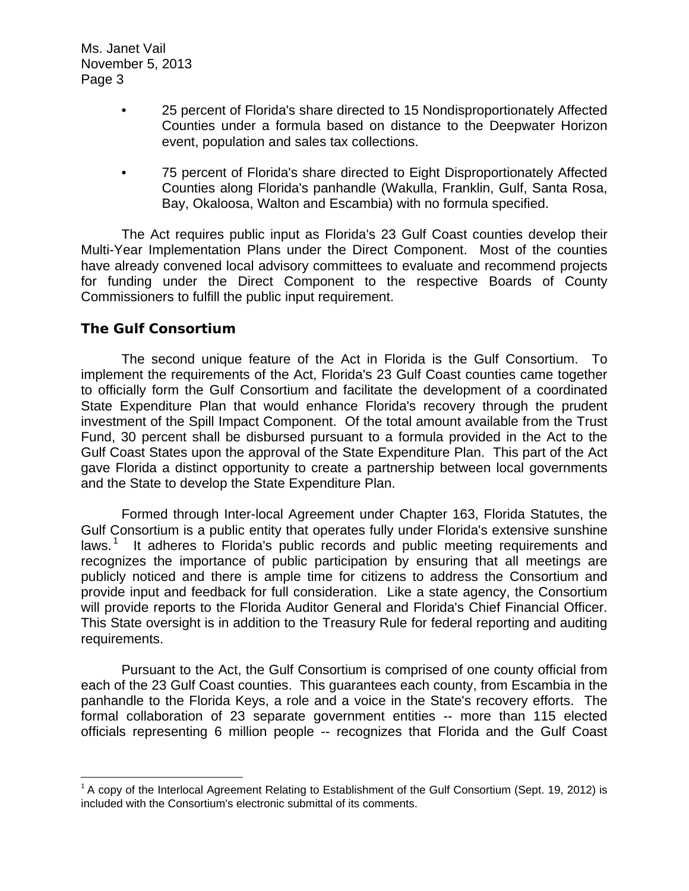- 25 percent of Florida's share directed to 15 Nondisproportionately Affected Counties under a formula based on distance to the Deepwater Horizon event, population and sales tax collections.
- 75 percent of Florida's share directed to Eight Disproportionately Affected Counties along Florida's panhandle (Wakulla, Franklin, Gulf, Santa Rosa, Bay, Okaloosa, Walton and Escambia) with no formula specified.

 The Act requires public input as Florida's 23 Gulf Coast counties develop their Multi-Year Implementation Plans under the Direct Component. Most of the counties have already convened local advisory committees to evaluate and recommend projects for funding under the Direct Component to the respective Boards of County Commissioners to fulfill the public input requirement.

# *The Gulf Consortium*

 The second unique feature of the Act in Florida is the Gulf Consortium. To implement the requirements of the Act, Florida's 23 Gulf Coast counties came together to officially form the Gulf Consortium and facilitate the development of a coordinated State Expenditure Plan that would enhance Florida's recovery through the prudent investment of the Spill Impact Component. Of the total amount available from the Trust Fund, 30 percent shall be disbursed pursuant to a formula provided in the Act to the Gulf Coast States upon the approval of the State Expenditure Plan. This part of the Act gave Florida a distinct opportunity to create a partnership between local governments and the State to develop the State Expenditure Plan.

 Formed through Inter-local Agreement under Chapter 163, Florida Statutes, the Gulf Consortium is a public entity that operates fully under Florida's extensive sunshine laws.<sup>[1](#page-2-0)</sup> It adheres to Florida's public records and public meeting requirements and recognizes the importance of public participation by ensuring that all meetings are publicly noticed and there is ample time for citizens to address the Consortium and provide input and feedback for full consideration. Like a state agency, the Consortium will provide reports to the Florida Auditor General and Florida's Chief Financial Officer. This State oversight is in addition to the Treasury Rule for federal reporting and auditing requirements.

 Pursuant to the Act, the Gulf Consortium is comprised of one county official from each of the 23 Gulf Coast counties. This guarantees each county, from Escambia in the panhandle to the Florida Keys, a role and a voice in the State's recovery efforts. The formal collaboration of 23 separate government entities -- more than 115 elected officials representing 6 million people -- recognizes that Florida and the Gulf Coast

<span id="page-2-0"></span> $1$  A copy of the Interlocal Agreement Relating to Establishment of the Gulf Consortium (Sept. 19, 2012) is included with the Consortium's electronic submittal of its comments.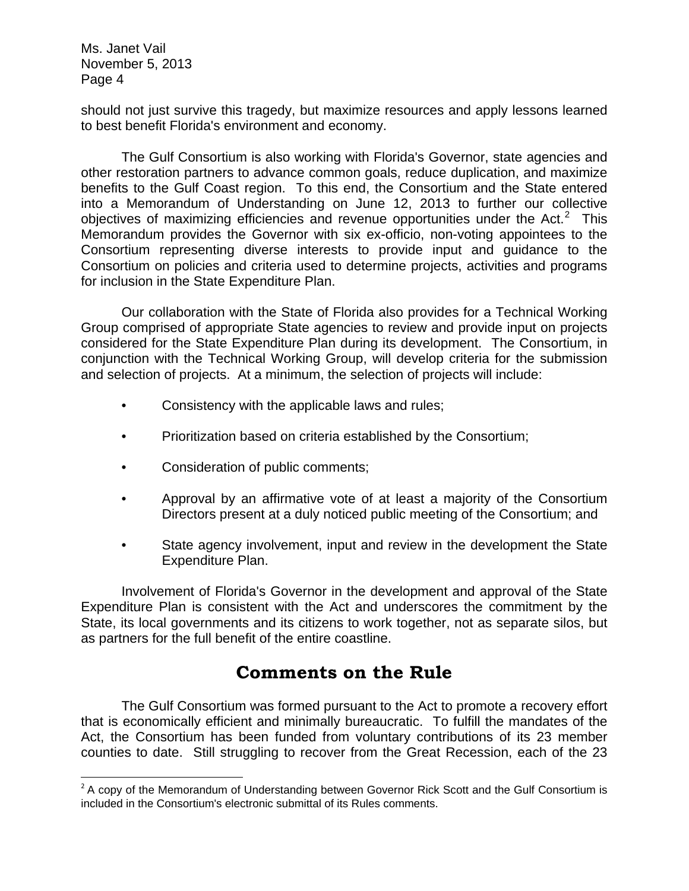should not just survive this tragedy, but maximize resources and apply lessons learned to best benefit Florida's environment and economy.

 The Gulf Consortium is also working with Florida's Governor, state agencies and other restoration partners to advance common goals, reduce duplication, and maximize benefits to the Gulf Coast region. To this end, the Consortium and the State entered into a Memorandum of Understanding on June 12, 2013 to further our collective objectives of maximizing efficiencies and revenue opportunities under the Act. $2$  This Memorandum provides the Governor with six ex-officio, non-voting appointees to the Consortium representing diverse interests to provide input and guidance to the Consortium on policies and criteria used to determine projects, activities and programs for inclusion in the State Expenditure Plan.

 Our collaboration with the State of Florida also provides for a Technical Working Group comprised of appropriate State agencies to review and provide input on projects considered for the State Expenditure Plan during its development. The Consortium, in conjunction with the Technical Working Group, will develop criteria for the submission and selection of projects. At a minimum, the selection of projects will include:

- Consistency with the applicable laws and rules;
- Prioritization based on criteria established by the Consortium;
- Consideration of public comments;

- Approval by an affirmative vote of at least a majority of the Consortium Directors present at a duly noticed public meeting of the Consortium; and
- State agency involvement, input and review in the development the State Expenditure Plan.

Involvement of Florida's Governor in the development and approval of the State Expenditure Plan is consistent with the Act and underscores the commitment by the State, its local governments and its citizens to work together, not as separate silos, but as partners for the full benefit of the entire coastline.

# **Comments on the Rule**

 The Gulf Consortium was formed pursuant to the Act to promote a recovery effort that is economically efficient and minimally bureaucratic. To fulfill the mandates of the Act, the Consortium has been funded from voluntary contributions of its 23 member counties to date. Still struggling to recover from the Great Recession, each of the 23

<span id="page-3-0"></span> $2^2$  A copy of the Memorandum of Understanding between Governor Rick Scott and the Gulf Consortium is included in the Consortium's electronic submittal of its Rules comments.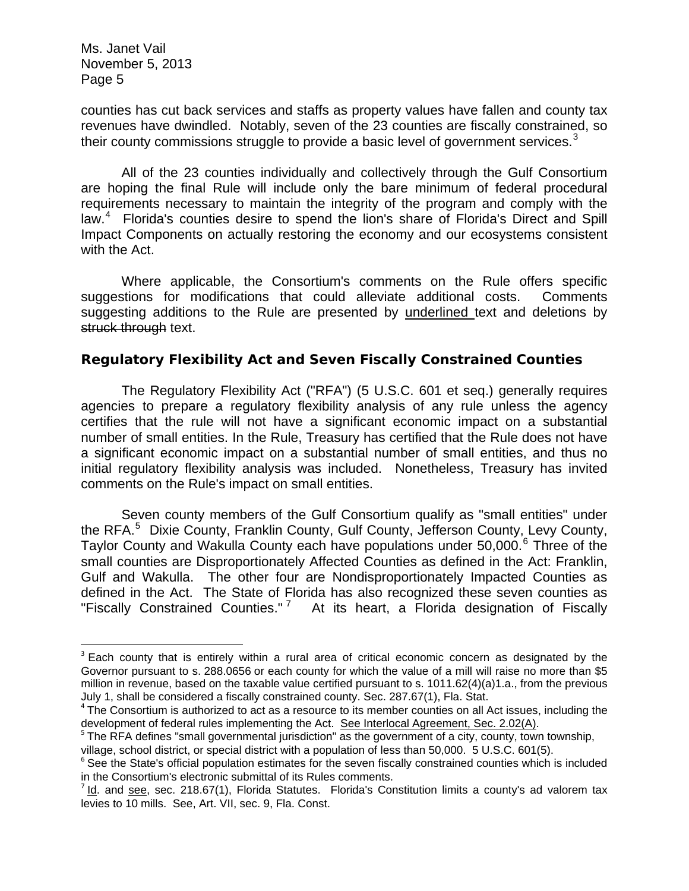counties has cut back services and staffs as property values have fallen and county tax revenues have dwindled. Notably, seven of the 23 counties are fiscally constrained, so their county commissions struggle to provide a basic level of government services. $3$ 

All of the 23 counties individually and collectively through the Gulf Consortium are hoping the final Rule will include only the bare minimum of federal procedural requirements necessary to maintain the integrity of the program and comply with the law.<sup>[4](#page-4-1)</sup> Florida's counties desire to spend the lion's share of Florida's Direct and Spill Impact Components on actually restoring the economy and our ecosystems consistent with the Act.

Where applicable, the Consortium's comments on the Rule offers specific suggestions for modifications that could alleviate additional costs. Comments suggesting additions to the Rule are presented by underlined text and deletions by struck through text.

# *Regulatory Flexibility Act and Seven Fiscally Constrained Counties*

 The Regulatory Flexibility Act ("RFA") (5 U.S.C. 601 et seq.) generally requires agencies to prepare a regulatory flexibility analysis of any rule unless the agency certifies that the rule will not have a significant economic impact on a substantial number of small entities. In the Rule, Treasury has certified that the Rule does not have a significant economic impact on a substantial number of small entities, and thus no initial regulatory flexibility analysis was included. Nonetheless, Treasury has invited comments on the Rule's impact on small entities.

 Seven county members of the Gulf Consortium qualify as "small entities" under the RFA.<sup>[5](#page-4-2)</sup> Dixie County, Franklin County, Gulf County, Jefferson County, Levy County, Taylor County and Wakulla County each have populations under 50,000.<sup>[6](#page-4-3)</sup> Three of the small counties are Disproportionately Affected Counties as defined in the Act: Franklin, Gulf and Wakulla. The other four are Nondisproportionately Impacted Counties as defined in the Act. The State of Florida has also recognized these seven counties as "Fiscally Constrained Counties." [7](#page-4-4) At its heart, a Florida designation of Fiscally

<span id="page-4-0"></span><sup>&</sup>lt;sup>3</sup> Each county that is entirely within a rural area of critical economic concern as designated by the Governor pursuant to s. [288.0656](http://www.leg.state.fl.us/statutes/index.cfm?App_mode=Display_Statute&Search_String=fiscally%20constrained&URL=0200-0299/0288/Sections/0288.0656.html) or each county for which the value of a mill will raise no more than \$5 million in revenue, based on the taxable value certified pursuant to s. [1011.62\(](http://www.leg.state.fl.us/statutes/index.cfm?App_mode=Display_Statute&Search_String=fiscally%20constrained&URL=1000-1099/1011/Sections/1011.62.html)4)(a)1.a., from the previous July 1, shall be considered a fiscally constrained county. Sec. 287.67(1), Fla. Stat.

<span id="page-4-1"></span> $4$  The Consortium is authorized to act as a resource to its member counties on all Act issues, including the development of federal rules implementing the Act. See Interlocal Agreement, Sec. 2.02(A).

<span id="page-4-2"></span><sup>&</sup>lt;sup>5</sup> The RFA defines "small governmental jurisdiction" as the government of a city, county, town township, village, school district, or special district with a population of less than 50,000. 5 U.S.C. 601(5).

<span id="page-4-3"></span><sup>&</sup>lt;sup>6</sup> See the State's official population estimates for the seven fiscally constrained counties which is included in the Consortium's electronic submittal of its Rules comments.

<span id="page-4-4"></span> $<sup>7</sup>$  Id. and see, sec. 218.67(1), Florida Statutes. Florida's Constitution limits a county's ad valorem tax</sup> levies to 10 mills. See, Art. VII, sec. 9, Fla. Const.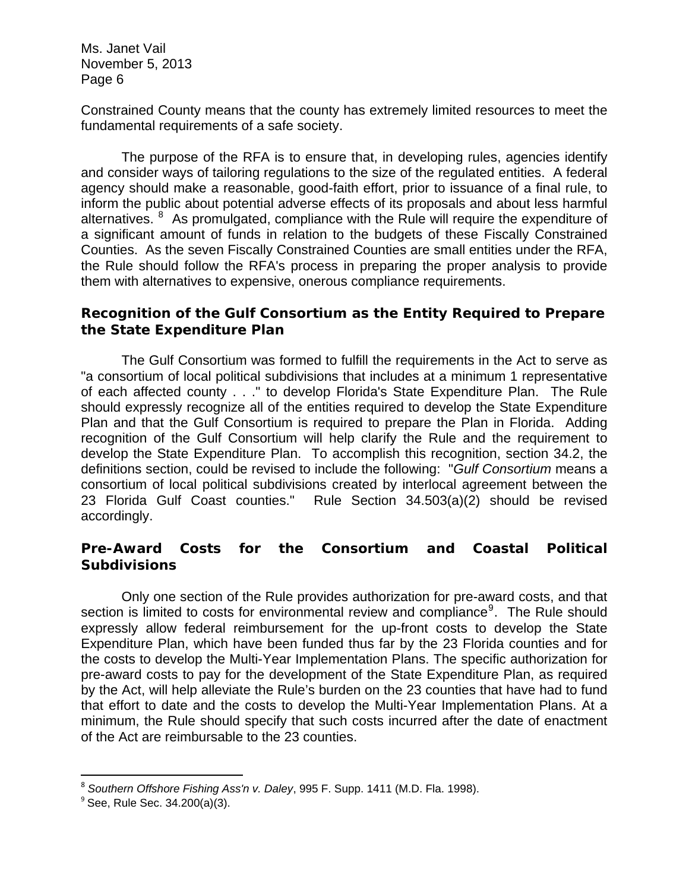Constrained County means that the county has extremely limited resources to meet the fundamental requirements of a safe society.

 The purpose of the RFA is to ensure that, in developing rules, agencies identify and consider ways of tailoring regulations to the size of the regulated entities. A federal agency should make a reasonable, good-faith effort, prior to issuance of a final rule, to inform the public about potential adverse effects of its proposals and about less harmful alternatives. <sup>[8](#page-5-0)</sup> As promulgated, compliance with the Rule will require the expenditure of a significant amount of funds in relation to the budgets of these Fiscally Constrained Counties. As the seven Fiscally Constrained Counties are small entities under the RFA, the Rule should follow the RFA's process in preparing the proper analysis to provide them with alternatives to expensive, onerous compliance requirements.

# *Recognition of the Gulf Consortium as the Entity Required to Prepare the State Expenditure Plan*

The Gulf Consortium was formed to fulfill the requirements in the Act to serve as "a consortium of local political subdivisions that includes at a minimum 1 representative of each affected county . . ." to develop Florida's State Expenditure Plan. The Rule should expressly recognize all of the entities required to develop the State Expenditure Plan and that the Gulf Consortium is required to prepare the Plan in Florida. Adding recognition of the Gulf Consortium will help clarify the Rule and the requirement to develop the State Expenditure Plan. To accomplish this recognition, section 34.2, the definitions section, could be revised to include the following: "*Gulf Consortium* means a consortium of local political subdivisions created by interlocal agreement between the 23 Florida Gulf Coast counties." Rule Section 34.503(a)(2) should be revised accordingly.

# *Pre-Award Costs for the Consortium and Coastal Political Subdivisions*

 Only one section of the Rule provides authorization for pre-award costs, and that section is limited to costs for environmental review and compliance<sup>[9](#page-5-1)</sup>. The Rule should expressly allow federal reimbursement for the up-front costs to develop the State Expenditure Plan, which have been funded thus far by the 23 Florida counties and for the costs to develop the Multi-Year Implementation Plans. The specific authorization for pre-award costs to pay for the development of the State Expenditure Plan, as required by the Act, will help alleviate the Rule's burden on the 23 counties that have had to fund that effort to date and the costs to develop the Multi-Year Implementation Plans. At a minimum, the Rule should specify that such costs incurred after the date of enactment of the Act are reimbursable to the 23 counties.

<span id="page-5-0"></span><sup>8</sup> *Southern Offshore Fishing Ass'n v. Daley*, 995 F. Supp. 1411 (M.D. Fla. 1998).

<span id="page-5-1"></span> $9^9$  See, Rule Sec. 34.200(a)(3).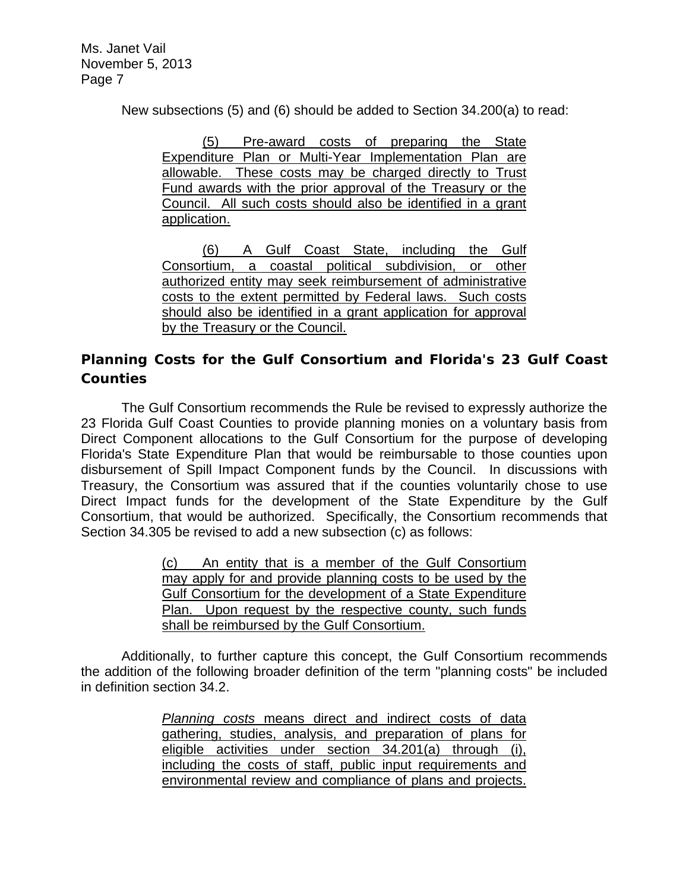New subsections (5) and (6) should be added to Section 34.200(a) to read:

(5) Pre-award costs of preparing the State Expenditure Plan or Multi-Year Implementation Plan are allowable. These costs may be charged directly to Trust Fund awards with the prior approval of the Treasury or the Council. All such costs should also be identified in a grant application.

(6) A Gulf Coast State, including the Gulf Consortium, a coastal political subdivision, or other authorized entity may seek reimbursement of administrative costs to the extent permitted by Federal laws. Such costs should also be identified in a grant application for approval by the Treasury or the Council.

# *Planning Costs for the Gulf Consortium and Florida's 23 Gulf Coast Counties*

 The Gulf Consortium recommends the Rule be revised to expressly authorize the 23 Florida Gulf Coast Counties to provide planning monies on a voluntary basis from Direct Component allocations to the Gulf Consortium for the purpose of developing Florida's State Expenditure Plan that would be reimbursable to those counties upon disbursement of Spill Impact Component funds by the Council. In discussions with Treasury, the Consortium was assured that if the counties voluntarily chose to use Direct Impact funds for the development of the State Expenditure by the Gulf Consortium, that would be authorized. Specifically, the Consortium recommends that Section 34.305 be revised to add a new subsection (c) as follows:

> (c) An entity that is a member of the Gulf Consortium may apply for and provide planning costs to be used by the Gulf Consortium for the development of a State Expenditure Plan. Upon request by the respective county, such funds shall be reimbursed by the Gulf Consortium.

 Additionally, to further capture this concept, the Gulf Consortium recommends the addition of the following broader definition of the term "planning costs" be included in definition section 34.2.

> *Planning costs* means direct and indirect costs of data gathering, studies, analysis, and preparation of plans for eligible activities under section 34.201(a) through (i), including the costs of staff, public input requirements and environmental review and compliance of plans and projects.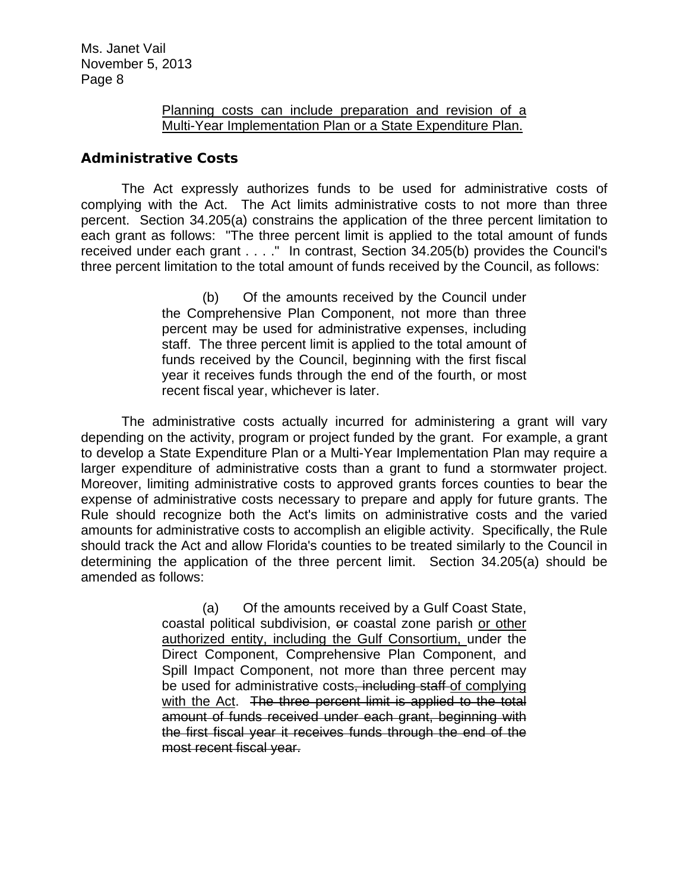#### Planning costs can include preparation and revision of a Multi-Year Implementation Plan or a State Expenditure Plan.

# *Administrative Costs*

The Act expressly authorizes funds to be used for administrative costs of complying with the Act. The Act limits administrative costs to not more than three percent. Section 34.205(a) constrains the application of the three percent limitation to each grant as follows: "The three percent limit is applied to the total amount of funds received under each grant . . . ." In contrast, Section 34.205(b) provides the Council's three percent limitation to the total amount of funds received by the Council, as follows:

> (b) Of the amounts received by the Council under the Comprehensive Plan Component, not more than three percent may be used for administrative expenses, including staff. The three percent limit is applied to the total amount of funds received by the Council, beginning with the first fiscal year it receives funds through the end of the fourth, or most recent fiscal year, whichever is later.

The administrative costs actually incurred for administering a grant will vary depending on the activity, program or project funded by the grant. For example, a grant to develop a State Expenditure Plan or a Multi-Year Implementation Plan may require a larger expenditure of administrative costs than a grant to fund a stormwater project. Moreover, limiting administrative costs to approved grants forces counties to bear the expense of administrative costs necessary to prepare and apply for future grants. The Rule should recognize both the Act's limits on administrative costs and the varied amounts for administrative costs to accomplish an eligible activity. Specifically, the Rule should track the Act and allow Florida's counties to be treated similarly to the Council in determining the application of the three percent limit. Section 34.205(a) should be amended as follows:

> (a) Of the amounts received by a Gulf Coast State, coastal political subdivision, or coastal zone parish or other authorized entity, including the Gulf Consortium, under the Direct Component, Comprehensive Plan Component, and Spill Impact Component, not more than three percent may be used for administrative costs, including staff of complying with the Act. The three percent limit is applied to the total amount of funds received under each grant, beginning with the first fiscal year it receives funds through the end of the most recent fiscal year.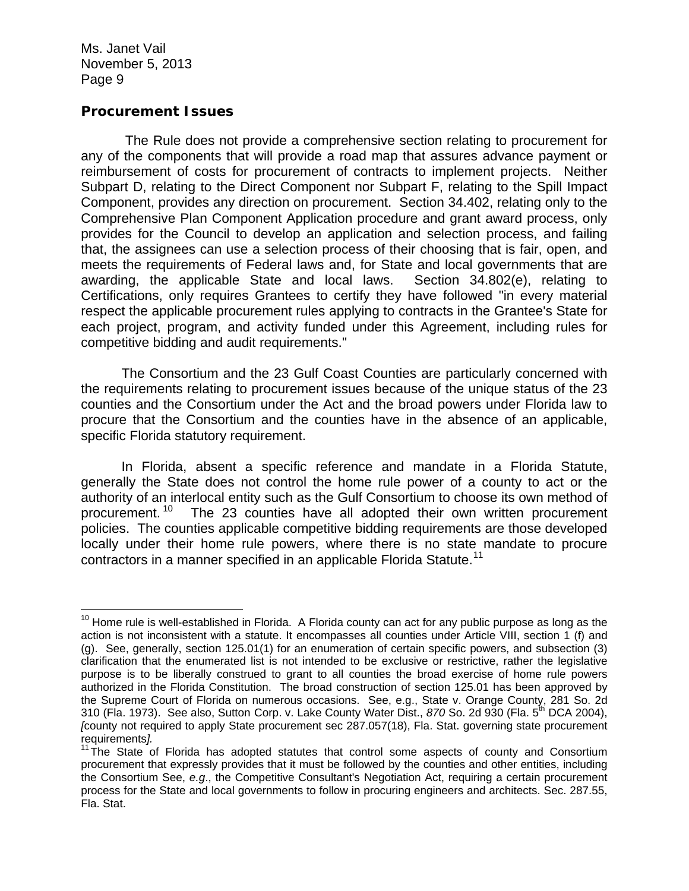#### *Procurement Issues*

 The Rule does not provide a comprehensive section relating to procurement for any of the components that will provide a road map that assures advance payment or reimbursement of costs for procurement of contracts to implement projects. Neither Subpart D, relating to the Direct Component nor Subpart F, relating to the Spill Impact Component, provides any direction on procurement. Section 34.402, relating only to the Comprehensive Plan Component Application procedure and grant award process, only provides for the Council to develop an application and selection process, and failing that, the assignees can use a selection process of their choosing that is fair, open, and meets the requirements of Federal laws and, for State and local governments that are awarding, the applicable State and local laws. Section 34.802(e), relating to Certifications, only requires Grantees to certify they have followed "in every material respect the applicable procurement rules applying to contracts in the Grantee's State for each project, program, and activity funded under this Agreement, including rules for competitive bidding and audit requirements."

The Consortium and the 23 Gulf Coast Counties are particularly concerned with the requirements relating to procurement issues because of the unique status of the 23 counties and the Consortium under the Act and the broad powers under Florida law to procure that the Consortium and the counties have in the absence of an applicable, specific Florida statutory requirement.

In Florida, absent a specific reference and mandate in a Florida Statute, generally the State does not control the home rule power of a county to act or the authority of an interlocal entity such as the Gulf Consortium to choose its own method of procurement.<sup>[10](#page-8-0)</sup> The 23 counties have all adopted their own written procurement policies. The counties applicable competitive bidding requirements are those developed locally under their home rule powers, where there is no state mandate to procure contractors in a manner specified in an applicable Florida Statute.<sup>[11](#page-8-1)</sup>

<span id="page-8-0"></span><sup>&</sup>lt;u> 1989 - Andrea Albert III, martin amerikan bahasa dalam pengaran bahasa dalam pengaran pengaran pengaran penga</u>  $10$  Home rule is well-established in Florida. A Florida county can act for any public purpose as long as the action is not inconsistent with a statute. It encompasses all counties under Article VIII, section 1 (f) and (g). See, generally, section 125.01(1) for an enumeration of certain specific powers, and subsection (3) clarification that the enumerated list is not intended to be exclusive or restrictive, rather the legislative purpose is to be liberally construed to grant to all counties the broad exercise of home rule powers authorized in the Florida Constitution. The broad construction of section 125.01 has been approved by the Supreme Court of Florida on numerous occasions. See, e.g., State v. Orange County, 281 So. 2d 310 (Fla. 1973). See also, Sutton Corp. v. Lake County Water Dist., *870* So. 2d 930 (Fla. 5th DCA 2004), *[*county not required to apply State procurement sec 287.057(18), Fla. Stat. governing state procurement requirements*].*

<span id="page-8-1"></span><sup>&</sup>lt;sup>11</sup>The State of Florida has adopted statutes that control some aspects of county and Consortium procurement that expressly provides that it must be followed by the counties and other entities, including the Consortium See, *e.g*., the Competitive Consultant's Negotiation Act, requiring a certain procurement process for the State and local governments to follow in procuring engineers and architects. Sec. 287.55, Fla. Stat.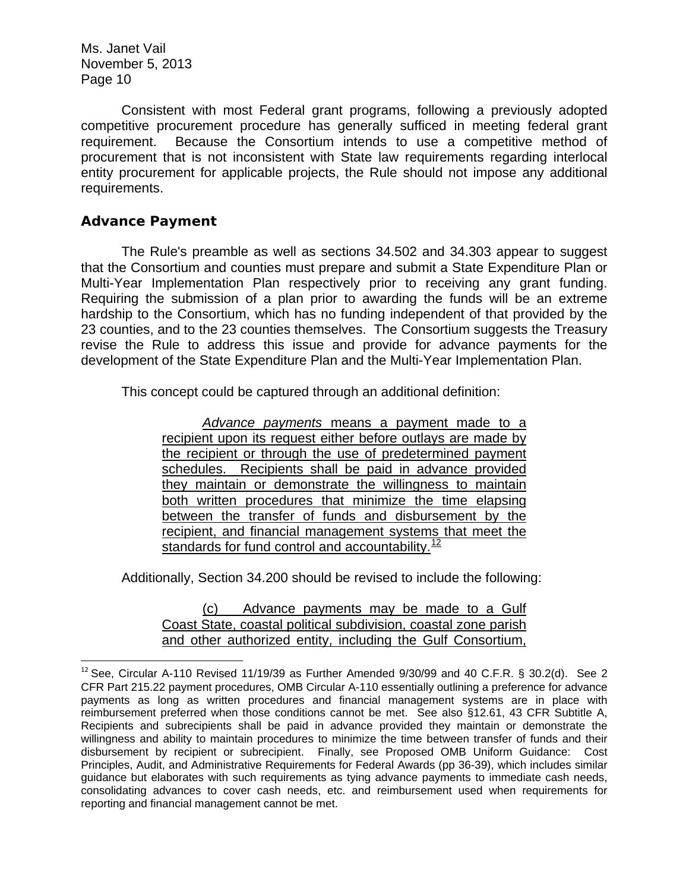Consistent with most Federal grant programs, following a previously adopted competitive procurement procedure has generally sufficed in meeting federal grant requirement. Because the Consortium intends to use a competitive method of procurement that is not inconsistent with State law requirements regarding interlocal entity procurement for applicable projects, the Rule should not impose any additional requirements.

# *Advance Payment*

The Rule's preamble as well as sections 34.502 and 34.303 appear to suggest that the Consortium and counties must prepare and submit a State Expenditure Plan or Multi-Year Implementation Plan respectively prior to receiving any grant funding. Requiring the submission of a plan prior to awarding the funds will be an extreme hardship to the Consortium, which has no funding independent of that provided by the 23 counties, and to the 23 counties themselves. The Consortium suggests the Treasury revise the Rule to address this issue and provide for advance payments for the development of the State Expenditure Plan and the Multi-Year Implementation Plan.

This concept could be captured through an additional definition:

*Advance payments* means a payment made to a recipient upon its request either before outlays are made by the recipient or through the use of predetermined payment schedules. Recipients shall be paid in advance provided they maintain or demonstrate the willingness to maintain both written procedures that minimize the time elapsing between the transfer of funds and disbursement by the recipient, and financial management systems that meet the standards for fund control and accountability. $12$ 

Additionally, Section 34.200 should be revised to include the following:

#### (c) Advance payments may be made to a Gulf Coast State, coastal political subdivision, coastal zone parish and other authorized entity, including the Gulf Consortium,

<span id="page-9-0"></span> $12$  See, Circular A-110 Revised 11/19/39 as Further Amended 9/30/99 and 40 C.F.R. § 30.2(d). See 2 CFR Part 215.22 payment procedures, OMB Circular A-110 essentially outlining a preference for advance payments as long as written procedures and financial management systems are in place with reimbursement preferred when those conditions cannot be met. See also §12.61, 43 CFR Subtitle A, Recipients and subrecipients shall be paid in advance provided they maintain or demonstrate the willingness and ability to maintain procedures to minimize the time between transfer of funds and their disbursement by recipient or subrecipient. Finally, see Proposed OMB Uniform Guidance: Cost Principles, Audit, and Administrative Requirements for Federal Awards (pp 36-39), which includes similar guidance but elaborates with such requirements as tying advance payments to immediate cash needs, consolidating advances to cover cash needs, etc. and reimbursement used when requirements for reporting and financial management cannot be met.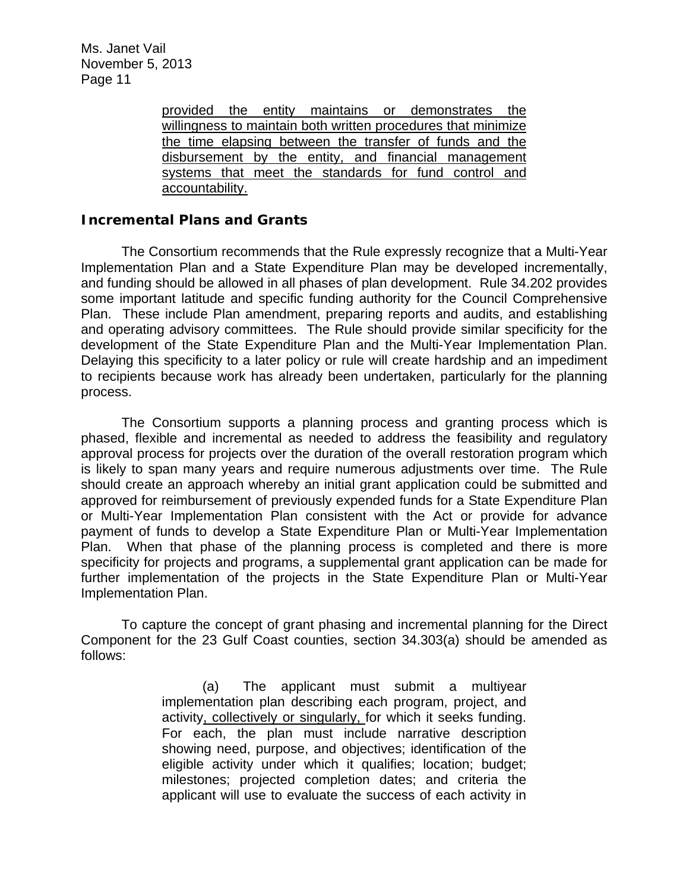> provided the entity maintains or demonstrates the willingness to maintain both written procedures that minimize the time elapsing between the transfer of funds and the disbursement by the entity, and financial management systems that meet the standards for fund control and accountability.

### *Incremental Plans and Grants*

The Consortium recommends that the Rule expressly recognize that a Multi-Year Implementation Plan and a State Expenditure Plan may be developed incrementally, and funding should be allowed in all phases of plan development. Rule 34.202 provides some important latitude and specific funding authority for the Council Comprehensive Plan. These include Plan amendment, preparing reports and audits, and establishing and operating advisory committees. The Rule should provide similar specificity for the development of the State Expenditure Plan and the Multi-Year Implementation Plan. Delaying this specificity to a later policy or rule will create hardship and an impediment to recipients because work has already been undertaken, particularly for the planning process.

The Consortium supports a planning process and granting process which is phased, flexible and incremental as needed to address the feasibility and regulatory approval process for projects over the duration of the overall restoration program which is likely to span many years and require numerous adjustments over time. The Rule should create an approach whereby an initial grant application could be submitted and approved for reimbursement of previously expended funds for a State Expenditure Plan or Multi-Year Implementation Plan consistent with the Act or provide for advance payment of funds to develop a State Expenditure Plan or Multi-Year Implementation Plan. When that phase of the planning process is completed and there is more specificity for projects and programs, a supplemental grant application can be made for further implementation of the projects in the State Expenditure Plan or Multi-Year Implementation Plan.

To capture the concept of grant phasing and incremental planning for the Direct Component for the 23 Gulf Coast counties, section 34.303(a) should be amended as follows:

> (a) The applicant must submit a multiyear implementation plan describing each program, project, and activity, collectively or singularly, for which it seeks funding. For each, the plan must include narrative description showing need, purpose, and objectives; identification of the eligible activity under which it qualifies; location; budget; milestones; projected completion dates; and criteria the applicant will use to evaluate the success of each activity in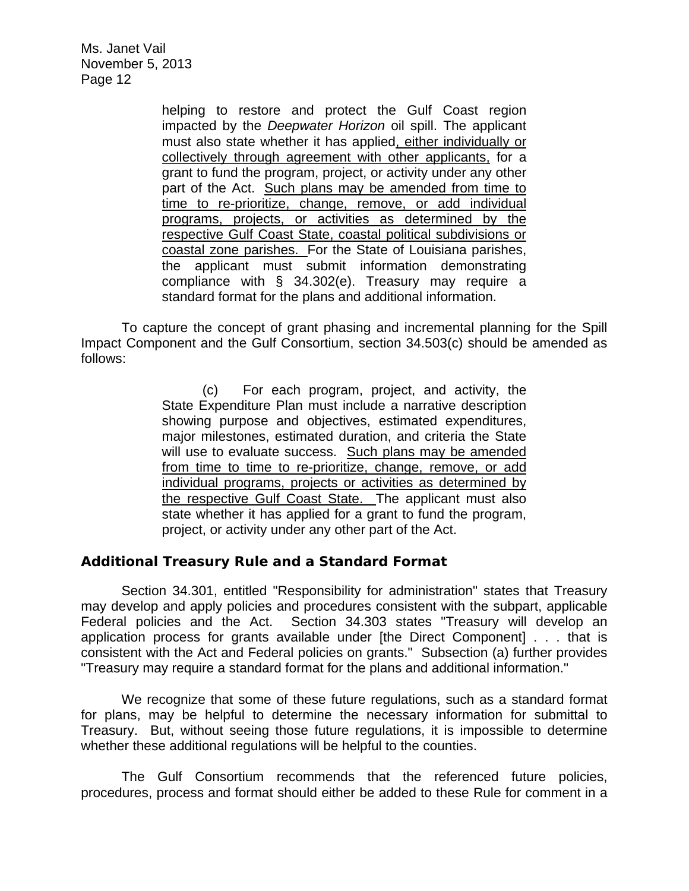> helping to restore and protect the Gulf Coast region impacted by the *Deepwater Horizon* oil spill. The applicant must also state whether it has applied, either individually or collectively through agreement with other applicants, for a grant to fund the program, project, or activity under any other part of the Act. Such plans may be amended from time to time to re-prioritize, change, remove, or add individual programs, projects, or activities as determined by the respective Gulf Coast State, coastal political subdivisions or coastal zone parishes. For the State of Louisiana parishes, the applicant must submit information demonstrating compliance with § 34.302(e). Treasury may require a standard format for the plans and additional information.

To capture the concept of grant phasing and incremental planning for the Spill Impact Component and the Gulf Consortium, section 34.503(c) should be amended as follows:

> (c) For each program, project, and activity, the State Expenditure Plan must include a narrative description showing purpose and objectives, estimated expenditures, major milestones, estimated duration, and criteria the State will use to evaluate success. Such plans may be amended from time to time to re-prioritize, change, remove, or add individual programs, projects or activities as determined by the respective Gulf Coast State. The applicant must also state whether it has applied for a grant to fund the program, project, or activity under any other part of the Act.

# *Additional Treasury Rule and a Standard Format*

Section 34.301, entitled "Responsibility for administration" states that Treasury may develop and apply policies and procedures consistent with the subpart, applicable Federal policies and the Act. Section 34.303 states "Treasury will develop an application process for grants available under [the Direct Component] . . . that is consistent with the Act and Federal policies on grants." Subsection (a) further provides "Treasury may require a standard format for the plans and additional information."

We recognize that some of these future regulations, such as a standard format for plans, may be helpful to determine the necessary information for submittal to Treasury. But, without seeing those future regulations, it is impossible to determine whether these additional regulations will be helpful to the counties.

The Gulf Consortium recommends that the referenced future policies, procedures, process and format should either be added to these Rule for comment in a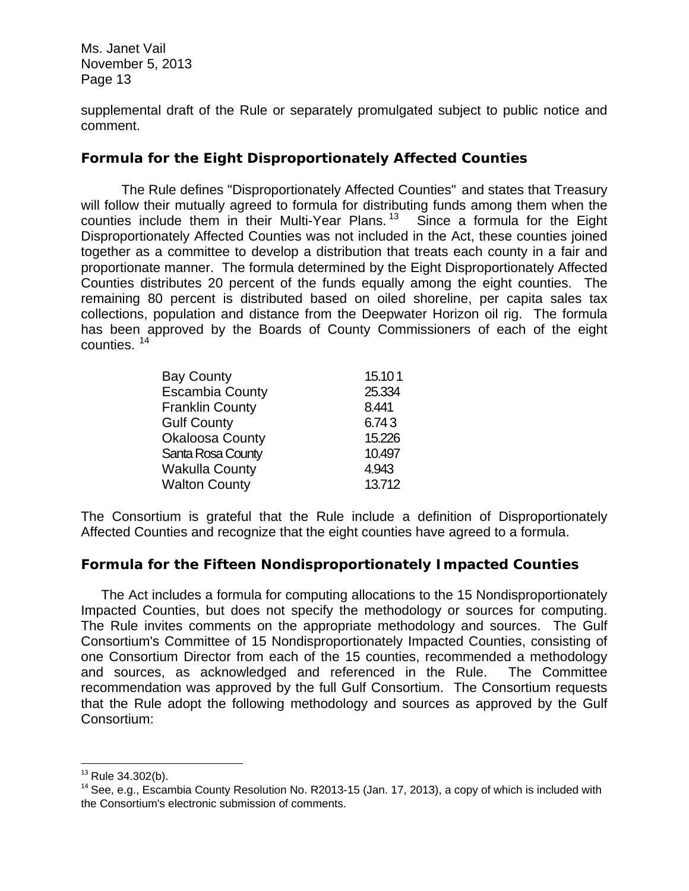supplemental draft of the Rule or separately promulgated subject to public notice and comment.

# *Formula for the Eight Disproportionately Affected Counties*

 The Rule defines "Disproportionately Affected Counties" and states that Treasury will follow their mutually agreed to formula for distributing funds among them when the counties include them in their Multi-Year Plans.<sup>[13](#page-12-0)</sup> Since a formula for the Eight Disproportionately Affected Counties was not included in the Act, these counties joined together as a committee to develop a distribution that treats each county in a fair and proportionate manner. The formula determined by the Eight Disproportionately Affected Counties distributes 20 percent of the funds equally among the eight counties. The remaining 80 percent is distributed based on oiled shoreline, per capita sales tax collections, population and distance from the Deepwater Horizon oil rig. The formula has been approved by the Boards of County Commissioners of each of the eight counties. [14](#page-12-1)

| <b>Bay County</b>      | 15.101 |
|------------------------|--------|
| <b>Escambia County</b> | 25.334 |
| <b>Franklin County</b> | 8.441  |
| <b>Gulf County</b>     | 6.743  |
| <b>Okaloosa County</b> | 15.226 |
| Santa Rosa County      | 10.497 |
| <b>Wakulla County</b>  | 4.943  |
| <b>Walton County</b>   | 13.712 |

The Consortium is grateful that the Rule include a definition of Disproportionately Affected Counties and recognize that the eight counties have agreed to a formula.

# *Formula for the Fifteen Nondisproportionately Impacted Counties*

The Act includes a formula for computing allocations to the 15 Nondisproportionately Impacted Counties, but does not specify the methodology or sources for computing. The Rule invites comments on the appropriate methodology and sources. The Gulf Consortium's Committee of 15 Nondisproportionately Impacted Counties, consisting of one Consortium Director from each of the 15 counties, recommended a methodology and sources, as acknowledged and referenced in the Rule. The Committee recommendation was approved by the full Gulf Consortium. The Consortium requests that the Rule adopt the following methodology and sources as approved by the Gulf Consortium:

<span id="page-12-0"></span> $13$  Rule 34.302(b).

<span id="page-12-1"></span> $14$  See, e.g., Escambia County Resolution No. R2013-15 (Jan. 17, 2013), a copy of which is included with the Consortium's electronic submission of comments.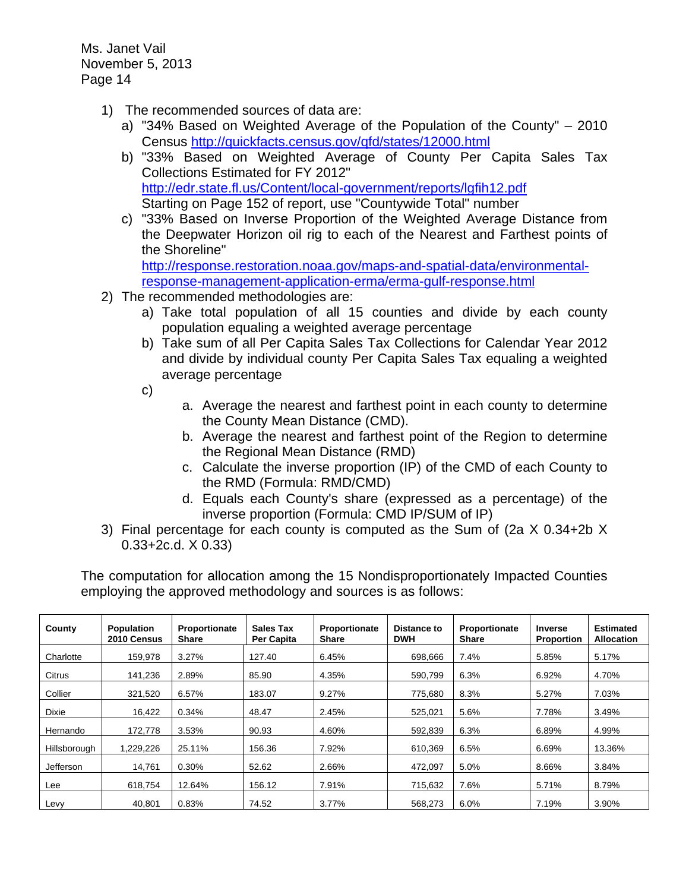- 1) The recommended sources of data are:
	- a) "34% Based on Weighted Average of the Population of the County" 2010 Census <http://quickfacts.census.gov/qfd/states/12000.html>
	- b) "33% Based on Weighted Average of County Per Capita Sales Tax Collections Estimated for FY 2012" <http://edr.state.fl.us/Content/local-government/reports/lgfih12.pdf> Starting on Page 152 of report, use "Countywide Total" number
	- c) "33% Based on Inverse Proportion of the Weighted Average Distance from the Deepwater Horizon oil rig to each of the Nearest and Farthest points of the Shoreline"

[http://response.restoration.noaa.gov/maps-and-spatial-data/environmental](http://response.restoration.noaa.gov/maps-and-spatial-data/environmental-response-management-application-erma/erma-gulf-response.html)[response-management-application-erma/erma-gulf-response.html](http://response.restoration.noaa.gov/maps-and-spatial-data/environmental-response-management-application-erma/erma-gulf-response.html)

- 2) The recommended methodologies are:
	- a) Take total population of all 15 counties and divide by each county population equaling a weighted average percentage
	- b) Take sum of all Per Capita Sales Tax Collections for Calendar Year 2012 and divide by individual county Per Capita Sales Tax equaling a weighted average percentage
	- c)
- a. Average the nearest and farthest point in each county to determine the County Mean Distance (CMD).
- b. Average the nearest and farthest point of the Region to determine the Regional Mean Distance (RMD)
- c. Calculate the inverse proportion (IP) of the CMD of each County to the RMD (Formula: RMD/CMD)
- d. Equals each County's share (expressed as a percentage) of the inverse proportion (Formula: CMD IP/SUM of IP)
- 3) Final percentage for each county is computed as the Sum of (2a X 0.34+2b X 0.33+2c.d. X 0.33)

The computation for allocation among the 15 Nondisproportionately Impacted Counties employing the approved methodology and sources is as follows:

| County       | <b>Population</b><br>2010 Census | Proportionate<br><b>Share</b> | Sales Tax<br>Per Capita | Proportionate<br><b>Share</b> | <b>Distance to</b><br><b>DWH</b> | Proportionate<br><b>Share</b> | <b>Inverse</b><br>Proportion | <b>Estimated</b><br><b>Allocation</b> |
|--------------|----------------------------------|-------------------------------|-------------------------|-------------------------------|----------------------------------|-------------------------------|------------------------------|---------------------------------------|
| Charlotte    | 159.978                          | 3.27%                         | 127.40                  | 6.45%                         | 698.666                          | 7.4%                          | 5.85%                        | 5.17%                                 |
| Citrus       | 141,236                          | 2.89%                         | 85.90                   | 4.35%                         | 590.799                          | 6.3%                          | 6.92%                        | 4.70%                                 |
| Collier      | 321,520                          | 6.57%                         | 183.07                  | 9.27%                         | 775,680                          | 8.3%                          | 5.27%                        | 7.03%                                 |
| <b>Dixie</b> | 16,422                           | 0.34%                         | 48.47                   | 2.45%                         | 525,021                          | 5.6%                          | 7.78%                        | 3.49%                                 |
| Hernando     | 172.778                          | 3.53%                         | 90.93                   | 4.60%                         | 592.839                          | 6.3%                          | 6.89%                        | 4.99%                                 |
| Hillsborough | 1,229,226                        | 25.11%                        | 156.36                  | 7.92%                         | 610.369                          | 6.5%                          | 6.69%                        | 13.36%                                |
| Jefferson    | 14,761                           | 0.30%                         | 52.62                   | 2.66%                         | 472,097                          | 5.0%                          | 8.66%                        | 3.84%                                 |
| Lee          | 618.754                          | 12.64%                        | 156.12                  | 7.91%                         | 715.632                          | 7.6%                          | 5.71%                        | 8.79%                                 |
| Levy         | 40.801                           | 0.83%                         | 74.52                   | 3.77%                         | 568.273                          | $6.0\%$                       | 7.19%                        | 3.90%                                 |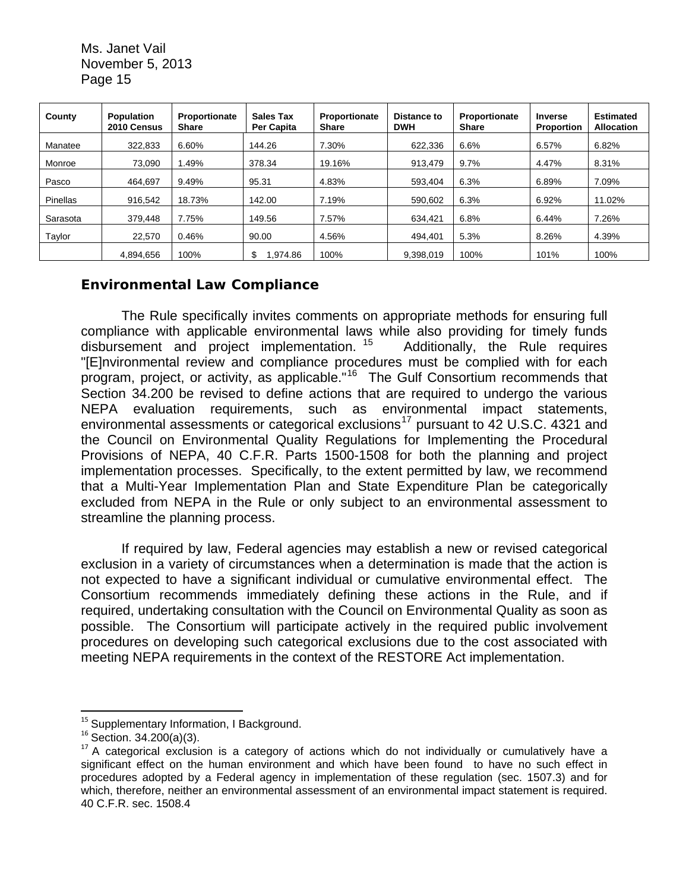| County   | Population<br>2010 Census | Proportionate<br><b>Share</b> | <b>Sales Tax</b><br><b>Per Capita</b> | Proportionate<br><b>Share</b> | <b>Distance to</b><br><b>DWH</b> | Proportionate<br><b>Share</b> | <b>Inverse</b><br><b>Proportion</b> | <b>Estimated</b><br><b>Allocation</b> |
|----------|---------------------------|-------------------------------|---------------------------------------|-------------------------------|----------------------------------|-------------------------------|-------------------------------------|---------------------------------------|
| Manatee  | 322.833                   | 6.60%                         | 144.26                                | 7.30%                         | 622.336                          | 6.6%                          | 6.57%                               | 6.82%                                 |
| Monroe   | 73.090                    | 1.49%                         | 378.34                                | 19.16%                        | 913.479                          | 9.7%                          | 4.47%                               | 8.31%                                 |
| Pasco    | 464,697                   | 9.49%                         | 95.31                                 | 4.83%                         | 593,404                          | 6.3%                          | 6.89%                               | 7.09%                                 |
| Pinellas | 916,542                   | 18.73%                        | 142.00                                | 7.19%                         | 590.602                          | 6.3%                          | 6.92%                               | 11.02%                                |
| Sarasota | 379.448                   | 7.75%                         | 149.56                                | 7.57%                         | 634,421                          | 6.8%                          | 6.44%                               | 7.26%                                 |
| Taylor   | 22.570                    | 0.46%                         | 90.00                                 | 4.56%                         | 494.401                          | 5.3%                          | 8.26%                               | 4.39%                                 |
|          | 4.894.656                 | 100%                          | S<br>.974.86                          | 100%                          | 9,398,019                        | 100%                          | 101%                                | 100%                                  |

# *Environmental Law Compliance*

The Rule specifically invites comments on appropriate methods for ensuring full compliance with applicable environmental laws while also providing for timely funds disbursement and project implementation. [15](#page-14-0) Additionally, the Rule requires "[E]nvironmental review and compliance procedures must be complied with for each program, project, or activity, as applicable."[16](#page-14-1) The Gulf Consortium recommends that Section 34.200 be revised to define actions that are required to undergo the various NEPA evaluation requirements, such as environmental impact statements, environmental assessments or categorical exclusions<sup>[17](#page-14-2)</sup> pursuant to 42 U.S.C. 4321 and the Council on Environmental Quality Regulations for Implementing the Procedural Provisions of NEPA, 40 C.F.R. Parts 1500-1508 for both the planning and project implementation processes. Specifically, to the extent permitted by law, we recommend that a Multi-Year Implementation Plan and State Expenditure Plan be categorically excluded from NEPA in the Rule or only subject to an environmental assessment to streamline the planning process.

If required by law, Federal agencies may establish a new or revised categorical exclusion in a variety of circumstances when a determination is made that the action is not expected to have a significant individual or cumulative environmental effect. The Consortium recommends immediately defining these actions in the Rule, and if required, undertaking consultation with the Council on Environmental Quality as soon as possible. The Consortium will participate actively in the required public involvement procedures on developing such categorical exclusions due to the cost associated with meeting NEPA requirements in the context of the RESTORE Act implementation.

 <sup>15</sup> Supplementary Information, I Background.

<span id="page-14-1"></span><span id="page-14-0"></span><sup>16</sup> Section. 34.200(a)(3).

<span id="page-14-2"></span> $17$  A categorical exclusion is a category of actions which do not individually or cumulatively have a significant effect on the human environment and which have been found to have no such effect in procedures adopted by a Federal agency in implementation of these regulation (sec. 1507.3) and for which, therefore, neither an environmental assessment of an environmental impact statement is required. 40 C.F.R. sec. 1508.4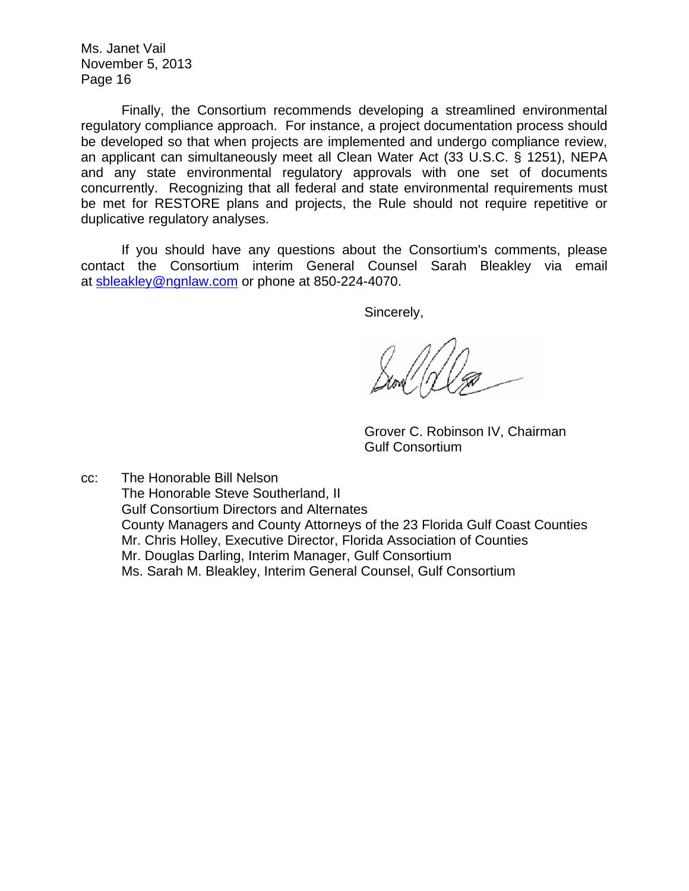Finally, the Consortium recommends developing a streamlined environmental regulatory compliance approach. For instance, a project documentation process should be developed so that when projects are implemented and undergo compliance review, an applicant can simultaneously meet all Clean Water Act (33 U.S.C. § 1251), NEPA and any state environmental regulatory approvals with one set of documents concurrently. Recognizing that all federal and state environmental requirements must be met for RESTORE plans and projects, the Rule should not require repetitive or duplicative regulatory analyses.

If you should have any questions about the Consortium's comments, please contact the Consortium interim General Counsel Sarah Bleakley via email at [sbleakley@ngnlaw.com](mailto:sbleakley@ngnlaw.com) or phone at 850-224-4070.

Sincerely,

Grover C. Robinson IV, Chairman Gulf Consortium

cc: The Honorable Bill Nelson The Honorable Steve Southerland, II Gulf Consortium Directors and Alternates County Managers and County Attorneys of the 23 Florida Gulf Coast Counties Mr. Chris Holley, Executive Director, Florida Association of Counties Mr. Douglas Darling, Interim Manager, Gulf Consortium Ms. Sarah M. Bleakley, Interim General Counsel, Gulf Consortium